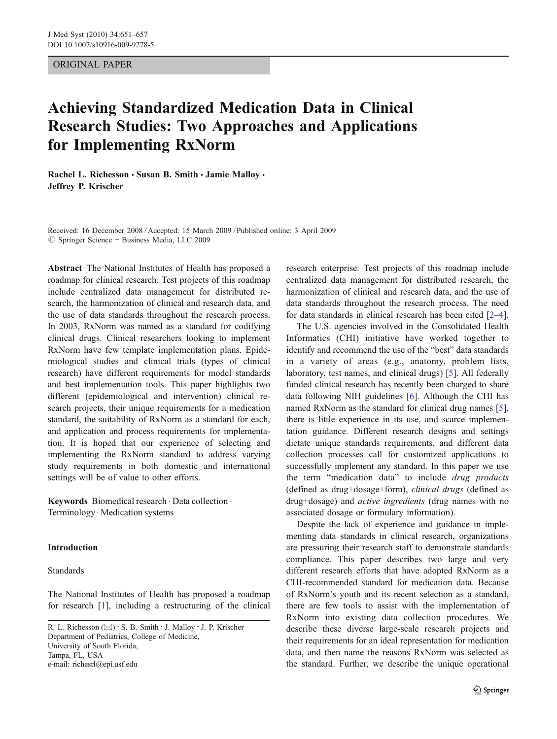## ORIGINAL PAPER

# Achieving Standardized Medication Data in Clinical Research Studies: Two Approaches and Applications for Implementing RxNorm

Rachel L. Richesson · Susan B. Smith · Jamie Malloy · Jeffrey P. Krischer

Received: 16 December 2008 / Accepted: 15 March 2009 / Published online: 3 April 2009  $\circledcirc$  Springer Science + Business Media, LLC 2009

Abstract The National Institutes of Health has proposed a roadmap for clinical research. Test projects of this roadmap include centralized data management for distributed research, the harmonization of clinical and research data, and the use of data standards throughout the research process. In 2003, RxNorm was named as a standard for codifying clinical drugs. Clinical researchers looking to implement RxNorm have few template implementation plans. Epidemiological studies and clinical trials (types of clinical research) have different requirements for model standards and best implementation tools. This paper highlights two different (epidemiological and intervention) clinical research projects, their unique requirements for a medication standard, the suitability of RxNorm as a standard for each, and application and process requirements for implementation. It is hoped that our experience of selecting and implementing the RxNorm standard to address varying study requirements in both domestic and international settings will be of value to other efforts.

Keywords Biomedical research . Data collection . Terminology . Medication systems

## Introduction

# Standards

The National Institutes of Health has proposed a roadmap for research [\[1](#page-5-0)], including a restructuring of the clinical research enterprise. Test projects of this roadmap include centralized data management for distributed research, the harmonization of clinical and research data, and the use of data standards throughout the research process. The need for data standards in clinical research has been cited [[2](#page-5-0)–[4\]](#page-6-0).

The U.S. agencies involved in the Consolidated Health Informatics (CHI) initiative have worked together to identify and recommend the use of the "best" data standards in a variety of areas (e.g., anatomy, problem lists, laboratory, test names, and clinical drugs) [[5\]](#page-6-0). All federally funded clinical research has recently been charged to share data following NIH guidelines [\[6](#page-6-0)]. Although the CHI has named RxNorm as the standard for clinical drug names [[5\]](#page-6-0), there is little experience in its use, and scarce implementation guidance. Different research designs and settings dictate unique standards requirements, and different data collection processes call for customized applications to successfully implement any standard. In this paper we use the term "medication data" to include drug products (defined as drug+dosage+form), clinical drugs (defined as drug+dosage) and active ingredients (drug names with no associated dosage or formulary information).

Despite the lack of experience and guidance in implementing data standards in clinical research, organizations are pressuring their research staff to demonstrate standards compliance. This paper describes two large and very different research efforts that have adopted RxNorm as a CHI-recommended standard for medication data. Because of RxNorm's youth and its recent selection as a standard, there are few tools to assist with the implementation of RxNorm into existing data collection procedures. We describe these diverse large-scale research projects and their requirements for an ideal representation for medication data, and then name the reasons RxNorm was selected as the standard. Further, we describe the unique operational

R. L. Richesson (⊠) · S. B. Smith · J. Malloy · J. P. Krischer Department of Pediatrics, College of Medicine, University of South Florida, Tampa, FL, USA e-mail: richesrl@epi.usf.edu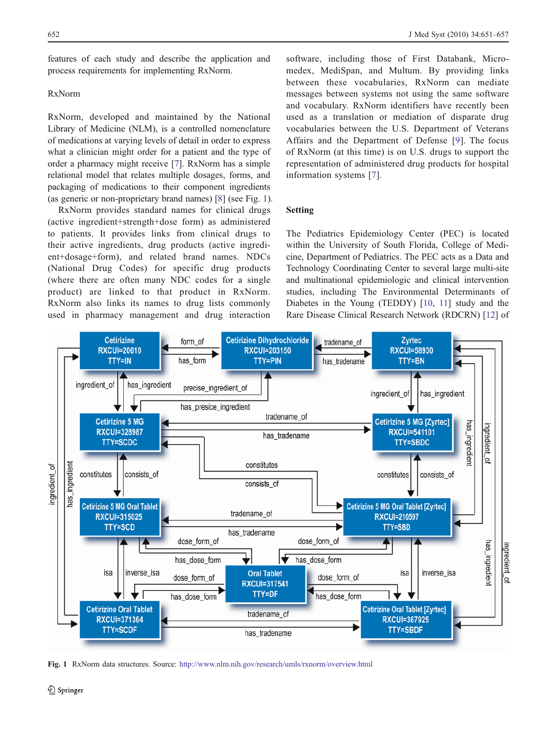features of each study and describe the application and process requirements for implementing RxNorm.

# RxNorm

RxNorm, developed and maintained by the National Library of Medicine (NLM), is a controlled nomenclature of medications at varying levels of detail in order to express what a clinician might order for a patient and the type of order a pharmacy might receive [[7\]](#page-6-0). RxNorm has a simple relational model that relates multiple dosages, forms, and packaging of medications to their component ingredients (as generic or non-proprietary brand names) [[8\]](#page-6-0) (see Fig. 1).

RxNorm provides standard names for clinical drugs (active ingredient+strength+dose form) as administered to patients. It provides links from clinical drugs to their active ingredients, drug products (active ingredient+dosage+form), and related brand names. NDCs (National Drug Codes) for specific drug products (where there are often many NDC codes for a single product) are linked to that product in RxNorm. RxNorm also links its names to drug lists commonly used in pharmacy management and drug interaction software, including those of First Databank, Micromedex, MediSpan, and Multum. By providing links between these vocabularies, RxNorm can mediate messages between systems not using the same software and vocabulary. RxNorm identifiers have recently been used as a translation or mediation of disparate drug vocabularies between the U.S. Department of Veterans Affairs and the Department of Defense [[9](#page-6-0)]. The focus of RxNorm (at this time) is on U.S. drugs to support the representation of administered drug products for hospital information systems [\[7\]](#page-6-0).

# Setting

The Pediatrics Epidemiology Center (PEC) is located within the University of South Florida, College of Medicine, Department of Pediatrics. The PEC acts as a Data and Technology Coordinating Center to several large multi-site and multinational epidemiologic and clinical intervention studies, including The Environmental Determinants of Diabetes in the Young (TEDDY) [[10,](#page-6-0) [11](#page-6-0)] study and the Rare Disease Clinical Research Network (RDCRN) [[12\]](#page-6-0) of



Fig. 1 RxNorm data structures. Source: <http://www.nlm.nih.gov/research/umls/rxnorm/overview.html>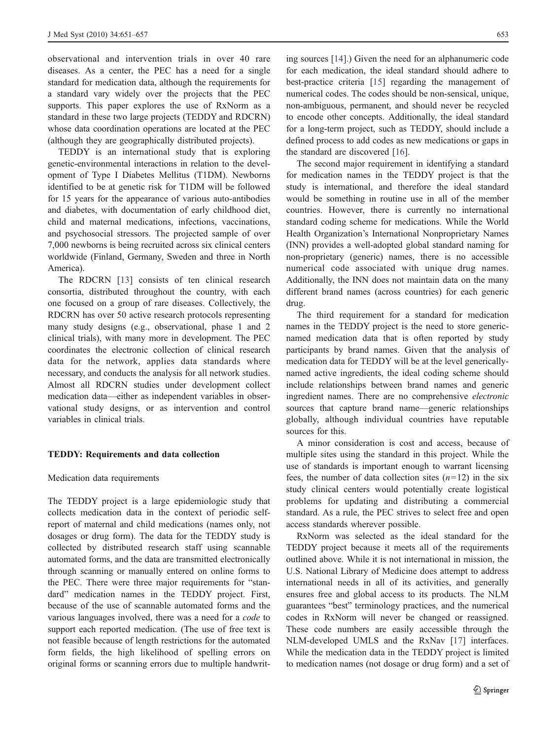observational and intervention trials in over 40 rare diseases. As a center, the PEC has a need for a single standard for medication data, although the requirements for a standard vary widely over the projects that the PEC supports. This paper explores the use of RxNorm as a standard in these two large projects (TEDDY and RDCRN) whose data coordination operations are located at the PEC (although they are geographically distributed projects).

TEDDY is an international study that is exploring genetic-environmental interactions in relation to the development of Type I Diabetes Mellitus (T1DM). Newborns identified to be at genetic risk for T1DM will be followed for 15 years for the appearance of various auto-antibodies and diabetes, with documentation of early childhood diet, child and maternal medications, infections, vaccinations, and psychosocial stressors. The projected sample of over 7,000 newborns is being recruited across six clinical centers worldwide (Finland, Germany, Sweden and three in North America).

The RDCRN [[13\]](#page-6-0) consists of ten clinical research consortia, distributed throughout the country, with each one focused on a group of rare diseases. Collectively, the RDCRN has over 50 active research protocols representing many study designs (e.g., observational, phase 1 and 2 clinical trials), with many more in development. The PEC coordinates the electronic collection of clinical research data for the network, applies data standards where necessary, and conducts the analysis for all network studies. Almost all RDCRN studies under development collect medication data—either as independent variables in observational study designs, or as intervention and control variables in clinical trials.

#### TEDDY: Requirements and data collection

#### Medication data requirements

The TEDDY project is a large epidemiologic study that collects medication data in the context of periodic selfreport of maternal and child medications (names only, not dosages or drug form). The data for the TEDDY study is collected by distributed research staff using scannable automated forms, and the data are transmitted electronically through scanning or manually entered on online forms to the PEC. There were three major requirements for "standard" medication names in the TEDDY project. First, because of the use of scannable automated forms and the various languages involved, there was a need for a code to support each reported medication. (The use of free text is not feasible because of length restrictions for the automated form fields, the high likelihood of spelling errors on original forms or scanning errors due to multiple handwriting sources [\[14](#page-6-0)].) Given the need for an alphanumeric code for each medication, the ideal standard should adhere to best-practice criteria [[15\]](#page-6-0) regarding the management of numerical codes. The codes should be non-sensical, unique, non-ambiguous, permanent, and should never be recycled to encode other concepts. Additionally, the ideal standard for a long-term project, such as TEDDY, should include a defined process to add codes as new medications or gaps in the standard are discovered [[16\]](#page-6-0).

The second major requirement in identifying a standard for medication names in the TEDDY project is that the study is international, and therefore the ideal standard would be something in routine use in all of the member countries. However, there is currently no international standard coding scheme for medications. While the World Health Organization's International Nonproprietary Names (INN) provides a well-adopted global standard naming for non-proprietary (generic) names, there is no accessible numerical code associated with unique drug names. Additionally, the INN does not maintain data on the many different brand names (across countries) for each generic drug.

The third requirement for a standard for medication names in the TEDDY project is the need to store genericnamed medication data that is often reported by study participants by brand names. Given that the analysis of medication data for TEDDY will be at the level genericallynamed active ingredients, the ideal coding scheme should include relationships between brand names and generic ingredient names. There are no comprehensive electronic sources that capture brand name—generic relationships globally, although individual countries have reputable sources for this.

A minor consideration is cost and access, because of multiple sites using the standard in this project. While the use of standards is important enough to warrant licensing fees, the number of data collection sites  $(n=12)$  in the six study clinical centers would potentially create logistical problems for updating and distributing a commercial standard. As a rule, the PEC strives to select free and open access standards wherever possible.

RxNorm was selected as the ideal standard for the TEDDY project because it meets all of the requirements outlined above. While it is not international in mission, the U.S. National Library of Medicine does attempt to address international needs in all of its activities, and generally ensures free and global access to its products. The NLM guarantees "best" terminology practices, and the numerical codes in RxNorm will never be changed or reassigned. These code numbers are easily accessible through the NLM-developed UMLS and the RxNav [[17\]](#page-6-0) interfaces. While the medication data in the TEDDY project is limited to medication names (not dosage or drug form) and a set of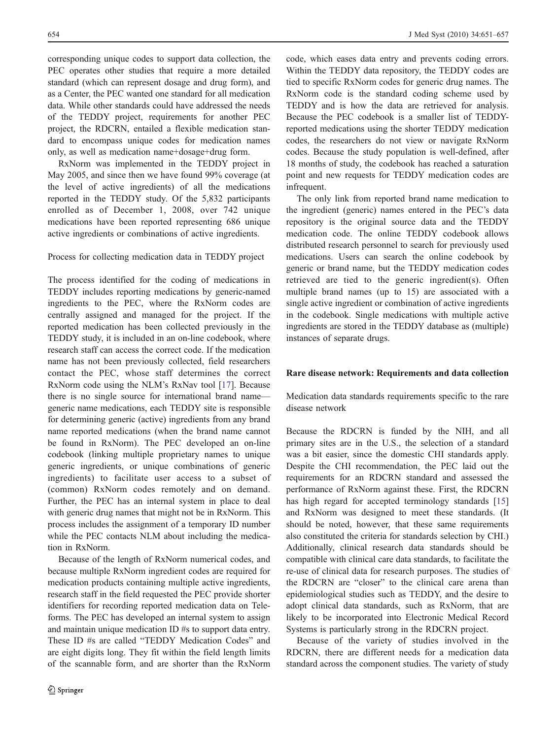corresponding unique codes to support data collection, the PEC operates other studies that require a more detailed standard (which can represent dosage and drug form), and as a Center, the PEC wanted one standard for all medication data. While other standards could have addressed the needs of the TEDDY project, requirements for another PEC project, the RDCRN, entailed a flexible medication standard to encompass unique codes for medication names only, as well as medication name+dosage+drug form.

RxNorm was implemented in the TEDDY project in May 2005, and since then we have found 99% coverage (at the level of active ingredients) of all the medications reported in the TEDDY study. Of the 5,832 participants enrolled as of December 1, 2008, over 742 unique medications have been reported representing 686 unique active ingredients or combinations of active ingredients.

# Process for collecting medication data in TEDDY project

The process identified for the coding of medications in TEDDY includes reporting medications by generic-named ingredients to the PEC, where the RxNorm codes are centrally assigned and managed for the project. If the reported medication has been collected previously in the TEDDY study, it is included in an on-line codebook, where research staff can access the correct code. If the medication name has not been previously collected, field researchers contact the PEC, whose staff determines the correct RxNorm code using the NLM's RxNav tool [\[17](#page-6-0)]. Because there is no single source for international brand name generic name medications, each TEDDY site is responsible for determining generic (active) ingredients from any brand name reported medications (when the brand name cannot be found in RxNorm). The PEC developed an on-line codebook (linking multiple proprietary names to unique generic ingredients, or unique combinations of generic ingredients) to facilitate user access to a subset of (common) RxNorm codes remotely and on demand. Further, the PEC has an internal system in place to deal with generic drug names that might not be in RxNorm. This process includes the assignment of a temporary ID number while the PEC contacts NLM about including the medication in RxNorm.

Because of the length of RxNorm numerical codes, and because multiple RxNorm ingredient codes are required for medication products containing multiple active ingredients, research staff in the field requested the PEC provide shorter identifiers for recording reported medication data on Teleforms. The PEC has developed an internal system to assign and maintain unique medication ID #s to support data entry. These ID #s are called "TEDDY Medication Codes" and are eight digits long. They fit within the field length limits of the scannable form, and are shorter than the RxNorm code, which eases data entry and prevents coding errors. Within the TEDDY data repository, the TEDDY codes are tied to specific RxNorm codes for generic drug names. The RxNorm code is the standard coding scheme used by TEDDY and is how the data are retrieved for analysis. Because the PEC codebook is a smaller list of TEDDYreported medications using the shorter TEDDY medication codes, the researchers do not view or navigate RxNorm codes. Because the study population is well-defined, after 18 months of study, the codebook has reached a saturation point and new requests for TEDDY medication codes are infrequent.

The only link from reported brand name medication to the ingredient (generic) names entered in the PEC's data repository is the original source data and the TEDDY medication code. The online TEDDY codebook allows distributed research personnel to search for previously used medications. Users can search the online codebook by generic or brand name, but the TEDDY medication codes retrieved are tied to the generic ingredient(s). Often multiple brand names (up to 15) are associated with a single active ingredient or combination of active ingredients in the codebook. Single medications with multiple active ingredients are stored in the TEDDY database as (multiple) instances of separate drugs.

#### Rare disease network: Requirements and data collection

Medication data standards requirements specific to the rare disease network

Because the RDCRN is funded by the NIH, and all primary sites are in the U.S., the selection of a standard was a bit easier, since the domestic CHI standards apply. Despite the CHI recommendation, the PEC laid out the requirements for an RDCRN standard and assessed the performance of RxNorm against these. First, the RDCRN has high regard for accepted terminology standards [\[15](#page-6-0)] and RxNorm was designed to meet these standards. (It should be noted, however, that these same requirements also constituted the criteria for standards selection by CHI.) Additionally, clinical research data standards should be compatible with clinical care data standards, to facilitate the re-use of clinical data for research purposes. The studies of the RDCRN are "closer" to the clinical care arena than epidemiological studies such as TEDDY, and the desire to adopt clinical data standards, such as RxNorm, that are likely to be incorporated into Electronic Medical Record Systems is particularly strong in the RDCRN project.

Because of the variety of studies involved in the RDCRN, there are different needs for a medication data standard across the component studies. The variety of study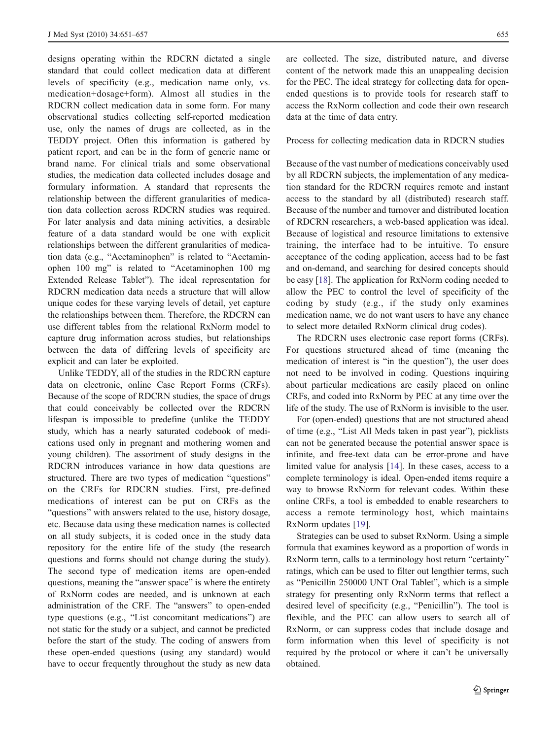designs operating within the RDCRN dictated a single standard that could collect medication data at different levels of specificity (e.g., medication name only, vs. medication+dosage+form). Almost all studies in the RDCRN collect medication data in some form. For many observational studies collecting self-reported medication use, only the names of drugs are collected, as in the TEDDY project. Often this information is gathered by patient report, and can be in the form of generic name or brand name. For clinical trials and some observational studies, the medication data collected includes dosage and formulary information. A standard that represents the relationship between the different granularities of medication data collection across RDCRN studies was required. For later analysis and data mining activities, a desirable feature of a data standard would be one with explicit relationships between the different granularities of medication data (e.g., "Acetaminophen" is related to "Acetaminophen 100 mg" is related to "Acetaminophen 100 mg Extended Release Tablet"). The ideal representation for RDCRN medication data needs a structure that will allow unique codes for these varying levels of detail, yet capture the relationships between them. Therefore, the RDCRN can use different tables from the relational RxNorm model to capture drug information across studies, but relationships between the data of differing levels of specificity are explicit and can later be exploited.

Unlike TEDDY, all of the studies in the RDCRN capture data on electronic, online Case Report Forms (CRFs). Because of the scope of RDCRN studies, the space of drugs that could conceivably be collected over the RDCRN lifespan is impossible to predefine (unlike the TEDDY study, which has a nearly saturated codebook of medications used only in pregnant and mothering women and young children). The assortment of study designs in the RDCRN introduces variance in how data questions are structured. There are two types of medication "questions" on the CRFs for RDCRN studies. First, pre-defined medications of interest can be put on CRFs as the "questions" with answers related to the use, history dosage, etc. Because data using these medication names is collected on all study subjects, it is coded once in the study data repository for the entire life of the study (the research questions and forms should not change during the study). The second type of medication items are open-ended questions, meaning the "answer space" is where the entirety of RxNorm codes are needed, and is unknown at each administration of the CRF. The "answers" to open-ended type questions (e.g., "List concomitant medications") are not static for the study or a subject, and cannot be predicted before the start of the study. The coding of answers from these open-ended questions (using any standard) would have to occur frequently throughout the study as new data are collected. The size, distributed nature, and diverse content of the network made this an unappealing decision for the PEC. The ideal strategy for collecting data for openended questions is to provide tools for research staff to access the RxNorm collection and code their own research data at the time of data entry.

Process for collecting medication data in RDCRN studies

Because of the vast number of medications conceivably used by all RDCRN subjects, the implementation of any medication standard for the RDCRN requires remote and instant access to the standard by all (distributed) research staff. Because of the number and turnover and distributed location of RDCRN researchers, a web-based application was ideal. Because of logistical and resource limitations to extensive training, the interface had to be intuitive. To ensure acceptance of the coding application, access had to be fast and on-demand, and searching for desired concepts should be easy [[18\]](#page-6-0). The application for RxNorm coding needed to allow the PEC to control the level of specificity of the coding by study (e.g., if the study only examines medication name, we do not want users to have any chance to select more detailed RxNorm clinical drug codes).

The RDCRN uses electronic case report forms (CRFs). For questions structured ahead of time (meaning the medication of interest is "in the question"), the user does not need to be involved in coding. Questions inquiring about particular medications are easily placed on online CRFs, and coded into RxNorm by PEC at any time over the life of the study. The use of RxNorm is invisible to the user.

For (open-ended) questions that are not structured ahead of time (e.g., "List All Meds taken in past year"), picklists can not be generated because the potential answer space is infinite, and free-text data can be error-prone and have limited value for analysis [[14\]](#page-6-0). In these cases, access to a complete terminology is ideal. Open-ended items require a way to browse RxNorm for relevant codes. Within these online CRFs, a tool is embedded to enable researchers to access a remote terminology host, which maintains RxNorm updates [[19\]](#page-6-0).

Strategies can be used to subset RxNorm. Using a simple formula that examines keyword as a proportion of words in RxNorm term, calls to a terminology host return "certainty" ratings, which can be used to filter out lengthier terms, such as "Penicillin 250000 UNT Oral Tablet", which is a simple strategy for presenting only RxNorm terms that reflect a desired level of specificity (e.g., "Penicillin"). The tool is flexible, and the PEC can allow users to search all of RxNorm, or can suppress codes that include dosage and form information when this level of specificity is not required by the protocol or where it can't be universally obtained.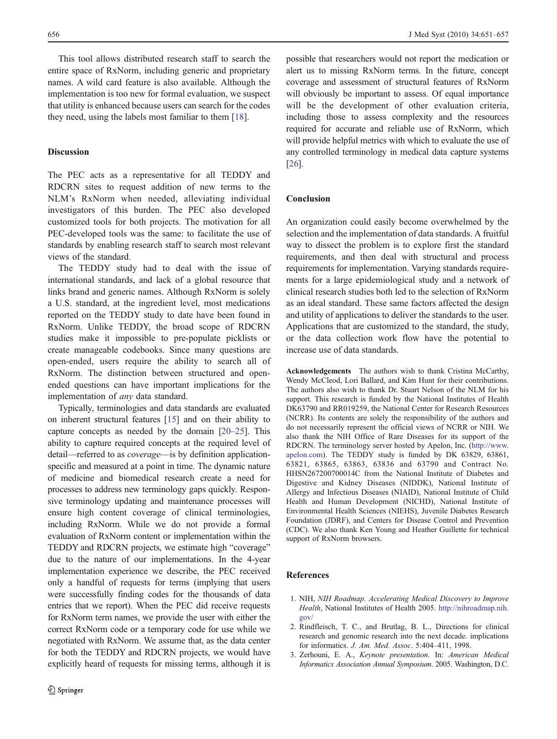<span id="page-5-0"></span>This tool allows distributed research staff to search the entire space of RxNorm, including generic and proprietary names. A wild card feature is also available. Although the implementation is too new for formal evaluation, we suspect that utility is enhanced because users can search for the codes they need, using the labels most familiar to them [[18\]](#page-6-0).

## Discussion

The PEC acts as a representative for all TEDDY and RDCRN sites to request addition of new terms to the NLM's RxNorm when needed, alleviating individual investigators of this burden. The PEC also developed customized tools for both projects. The motivation for all PEC-developed tools was the same: to facilitate the use of standards by enabling research staff to search most relevant views of the standard.

The TEDDY study had to deal with the issue of international standards, and lack of a global resource that links brand and generic names. Although RxNorm is solely a U.S. standard, at the ingredient level, most medications reported on the TEDDY study to date have been found in RxNorm. Unlike TEDDY, the broad scope of RDCRN studies make it impossible to pre-populate picklists or create manageable codebooks. Since many questions are open-ended, users require the ability to search all of RxNorm. The distinction between structured and openended questions can have important implications for the implementation of any data standard.

Typically, terminologies and data standards are evaluated on inherent structural features [[15\]](#page-6-0) and on their ability to capture concepts as needed by the domain [\[20](#page-6-0)–[25](#page-6-0)]. This ability to capture required concepts at the required level of detail—referred to as coverage—is by definition applicationspecific and measured at a point in time. The dynamic nature of medicine and biomedical research create a need for processes to address new terminology gaps quickly. Responsive terminology updating and maintenance processes will ensure high content coverage of clinical terminologies, including RxNorm. While we do not provide a formal evaluation of RxNorm content or implementation within the TEDDY and RDCRN projects, we estimate high "coverage" due to the nature of our implementations. In the 4-year implementation experience we describe, the PEC received only a handful of requests for terms (implying that users were successfully finding codes for the thousands of data entries that we report). When the PEC did receive requests for RxNorm term names, we provide the user with either the correct RxNorm code or a temporary code for use while we negotiated with RxNorm. We assume that, as the data center for both the TEDDY and RDCRN projects, we would have explicitly heard of requests for missing terms, although it is

possible that researchers would not report the medication or alert us to missing RxNorm terms. In the future, concept coverage and assessment of structural features of RxNorm will obviously be important to assess. Of equal importance will be the development of other evaluation criteria, including those to assess complexity and the resources required for accurate and reliable use of RxNorm, which will provide helpful metrics with which to evaluate the use of any controlled terminology in medical data capture systems [\[26](#page-6-0)].

## Conclusion

An organization could easily become overwhelmed by the selection and the implementation of data standards. A fruitful way to dissect the problem is to explore first the standard requirements, and then deal with structural and process requirements for implementation. Varying standards requirements for a large epidemiological study and a network of clinical research studies both led to the selection of RxNorm as an ideal standard. These same factors affected the design and utility of applications to deliver the standards to the user. Applications that are customized to the standard, the study, or the data collection work flow have the potential to increase use of data standards.

Acknowledgements The authors wish to thank Cristina McCarthy, Wendy McCleod, Lori Ballard, and Kim Hunt for their contributions. The authors also wish to thank Dr. Stuart Nelson of the NLM for his support. This research is funded by the National Institutes of Health DK63790 and RR019259, the National Center for Research Resources (NCRR). Its contents are solely the responsibility of the authors and do not necessarily represent the official views of NCRR or NIH. We also thank the NIH Office of Rare Diseases for its support of the RDCRN. The terminology server hosted by Apelon, Inc. [\(http://www.](http://www.apelon.com) [apelon.com](http://www.apelon.com)). The TEDDY study is funded by DK 63829, 63861, 63821, 63865, 63863, 63836 and 63790 and Contract No. HHSN267200700014C from the National Institute of Diabetes and Digestive and Kidney Diseases (NIDDK), National Institute of Allergy and Infectious Diseases (NIAID), National Institute of Child Health and Human Development (NICHD), National Institute of Environmental Health Sciences (NIEHS), Juvenile Diabetes Research Foundation (JDRF), and Centers for Disease Control and Prevention (CDC). We also thank Ken Young and Heather Guillette for technical support of RxNorm browsers.

## References

- 1. NIH, NIH Roadmap. Accelerating Medical Discovery to Improve Health, National Institutes of Health 2005. [http://nihroadmap.nih.](http://nihroadmap.nih.gov/) [gov/](http://nihroadmap.nih.gov/)
- 2. Rindfleisch, T. C., and Brutlag, B. L., Directions for clinical research and genomic research into the next decade. implications for informatics. J. Am. Med. Assoc. 5:404–411, 1998.
- 3. Zerhouni, E. A., Keynote presentation. In: American Medical Informatics Association Annual Symposium. 2005. Washington, D.C.